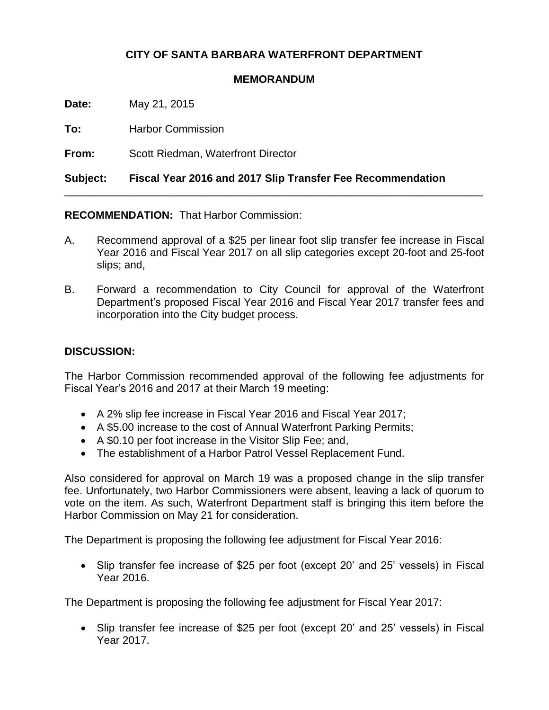## **CITY OF SANTA BARBARA WATERFRONT DEPARTMENT**

## **MEMORANDUM**

**Date:** May 21, 2015

**To:** Harbor Commission

**From:** Scott Riedman, Waterfront Director

**Subject: Fiscal Year 2016 and 2017 Slip Transfer Fee Recommendation**

**RECOMMENDATION:** That Harbor Commission:

A. Recommend approval of a \$25 per linear foot slip transfer fee increase in Fiscal Year 2016 and Fiscal Year 2017 on all slip categories except 20-foot and 25-foot slips; and,

\_\_\_\_\_\_\_\_\_\_\_\_\_\_\_\_\_\_\_\_\_\_\_\_\_\_\_\_\_\_\_\_\_\_\_\_\_\_\_\_\_\_\_\_\_\_\_\_\_\_\_\_\_\_\_\_\_\_\_\_\_\_\_\_\_\_\_\_\_\_

B. Forward a recommendation to City Council for approval of the Waterfront Department's proposed Fiscal Year 2016 and Fiscal Year 2017 transfer fees and incorporation into the City budget process.

## **DISCUSSION:**

The Harbor Commission recommended approval of the following fee adjustments for Fiscal Year's 2016 and 2017 at their March 19 meeting:

- A 2% slip fee increase in Fiscal Year 2016 and Fiscal Year 2017;
- A \$5.00 increase to the cost of Annual Waterfront Parking Permits;
- A \$0.10 per foot increase in the Visitor Slip Fee; and,
- The establishment of a Harbor Patrol Vessel Replacement Fund.

Also considered for approval on March 19 was a proposed change in the slip transfer fee. Unfortunately, two Harbor Commissioners were absent, leaving a lack of quorum to vote on the item. As such, Waterfront Department staff is bringing this item before the Harbor Commission on May 21 for consideration.

The Department is proposing the following fee adjustment for Fiscal Year 2016:

 Slip transfer fee increase of \$25 per foot (except 20' and 25' vessels) in Fiscal Year 2016.

The Department is proposing the following fee adjustment for Fiscal Year 2017:

 Slip transfer fee increase of \$25 per foot (except 20' and 25' vessels) in Fiscal Year 2017.